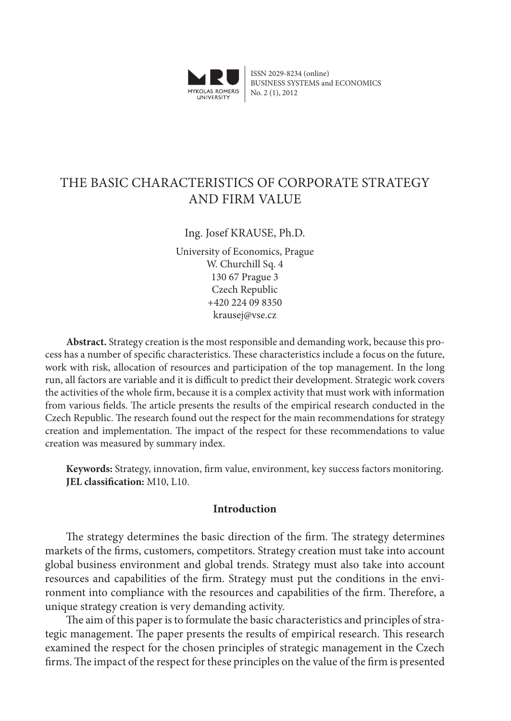

ISSN 2029-8234 (online) BUSINESS SYSTEMS and ECONOMICS No. 2 (1), 2012

# THE BASIC CHARACTERISTICS OF CORPORATE STRATEGY AND FIRM VALUE

# Ing. Josef KRAUSE, Ph.D.

University of Economics, Prague W. Churchill Sq. 4 130 67 Prague 3 Czech Republic +420 224 09 8350 krausej@vse.cz

**Abstract.** Strategy creation is the most responsible and demanding work, because this process has a number of specific characteristics. These characteristics include a focus on the future, work with risk, allocation of resources and participation of the top management. In the long run, all factors are variable and it is difficult to predict their development. Strategic work covers the activities of the whole firm, because it is a complex activity that must work with information from various fields. The article presents the results of the empirical research conducted in the Czech Republic. The research found out the respect for the main recommendations for strategy creation and implementation. The impact of the respect for these recommendations to value creation was measured by summary index.

**Keywords:** Strategy, innovation, firm value, environment, key success factors monitoring. **JEL classification:** M10, L10.

### **Introduction**

The strategy determines the basic direction of the firm. The strategy determines markets of the firms, customers, competitors. Strategy creation must take into account global business environment and global trends. Strategy must also take into account resources and capabilities of the firm. Strategy must put the conditions in the environment into compliance with the resources and capabilities of the firm. Therefore, a unique strategy creation is very demanding activity.

The aim of this paper is to formulate the basic characteristics and principles of strategic management. The paper presents the results of empirical research. This research examined the respect for the chosen principles of strategic management in the Czech firms. The impact of the respect for these principles on the value of the firm is presented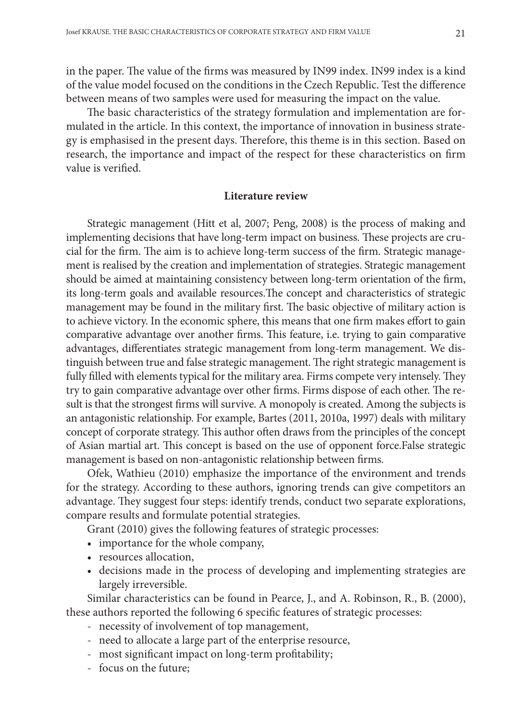in the paper. The value of the firms was measured by IN99 index. IN99 index is a kind of the value model focused on the conditions in the Czech Republic. Test the difference between means of two samples were used for measuring the impact on the value.

The basic characteristics of the strategy formulation and implementation are formulated in the article. In this context, the importance of innovation in business strategy is emphasised in the present days. Therefore, this theme is in this section. Based on research, the importance and impact of the respect for these characteristics on firm value is verified.

#### **Literature review**

Strategic management (Hitt et al, 2007; Peng, 2008) is the process of making and implementing decisions that have long-term impact on business. These projects are crucial for the firm. The aim is to achieve long-term success of the firm. Strategic management is realised by the creation and implementation of strategies. Strategic management should be aimed at maintaining consistency between long-term orientation of the firm, its long-term goals and available resources.The concept and characteristics of strategic management may be found in the military first. The basic objective of military action is to achieve victory. In the economic sphere, this means that one firm makes effort to gain comparative advantage over another firms. This feature, i.e. trying to gain comparative advantages, differentiates strategic management from long-term management. We distinguish between true and false strategic management. The right strategic management is fully filled with elements typical for the military area. Firms compete very intensely. They try to gain comparative advantage over other firms. Firms dispose of each other. The result is that the strongest firms will survive. A monopoly is created. Among the subjects is an antagonistic relationship. For example, Bartes (2011, 2010a, 1997) deals with military concept of corporate strategy. This author often draws from the principles of the concept of Asian martial art. This concept is based on the use of opponent force.False strategic management is based on non-antagonistic relationship between firms.

Ofek, Wathieu (2010) emphasize the importance of the environment and trends for the strategy. According to these authors, ignoring trends can give competitors an advantage. They suggest four steps: identify trends, conduct two separate explorations, compare results and formulate potential strategies.

Grant (2010) gives the following features of strategic processes:

- importance for the whole company,
- resources allocation,
- decisions made in the process of developing and implementing strategies are largely irreversible.

Similar characteristics can be found in Pearce, J., and A. Robinson, R., B. (2000), these authors reported the following 6 specific features of strategic processes:

- necessity of involvement of top management,
- need to allocate a large part of the enterprise resource,
- most significant impact on long-term profitability;
- focus on the future;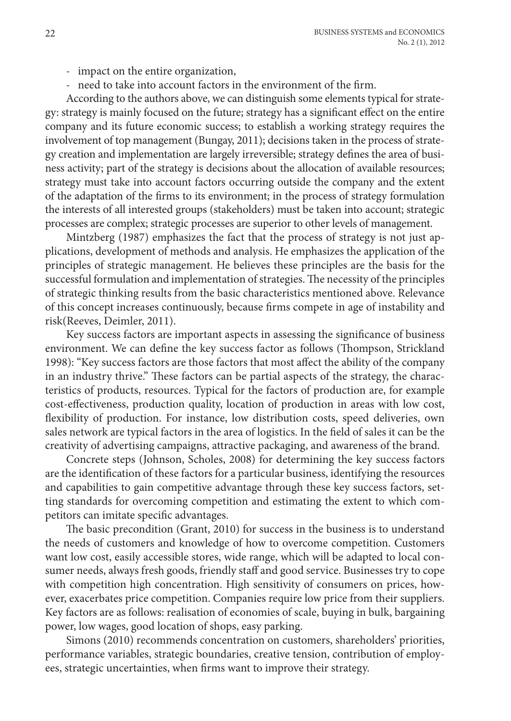- impact on the entire organization,
- need to take into account factors in the environment of the firm.

According to the authors above, we can distinguish some elements typical for strategy: strategy is mainly focused on the future; strategy has a significant effect on the entire company and its future economic success; to establish a working strategy requires the involvement of top management (Bungay, 2011); decisions taken in the process of strategy creation and implementation are largely irreversible; strategy defines the area of business activity; part of the strategy is decisions about the allocation of available resources; strategy must take into account factors occurring outside the company and the extent of the adaptation of the firms to its environment; in the process of strategy formulation the interests of all interested groups (stakeholders) must be taken into account; strategic processes are complex; strategic processes are superior to other levels of management.

Mintzberg (1987) emphasizes the fact that the process of strategy is not just applications, development of methods and analysis. He emphasizes the application of the principles of strategic management. He believes these principles are the basis for the successful formulation and implementation of strategies. The necessity of the principles of strategic thinking results from the basic characteristics mentioned above. Relevance of this concept increases continuously, because firms compete in age of instability and risk(Reeves, Deimler, 2011).

Key success factors are important aspects in assessing the significance of business environment. We can define the key success factor as follows (Thompson, Strickland 1998): "Key success factors are those factors that most affect the ability of the company in an industry thrive." These factors can be partial aspects of the strategy, the characteristics of products, resources. Typical for the factors of production are, for example cost-effectiveness, production quality, location of production in areas with low cost, flexibility of production. For instance, low distribution costs, speed deliveries, own sales network are typical factors in the area of logistics. In the field of sales it can be the creativity of advertising campaigns, attractive packaging, and awareness of the brand.

Concrete steps (Johnson, Scholes, 2008) for determining the key success factors are the identification of these factors for a particular business, identifying the resources and capabilities to gain competitive advantage through these key success factors, setting standards for overcoming competition and estimating the extent to which competitors can imitate specific advantages.

The basic precondition (Grant, 2010) for success in the business is to understand the needs of customers and knowledge of how to overcome competition. Customers want low cost, easily accessible stores, wide range, which will be adapted to local consumer needs, always fresh goods, friendly staff and good service. Businesses try to cope with competition high concentration. High sensitivity of consumers on prices, however, exacerbates price competition. Companies require low price from their suppliers. Key factors are as follows: realisation of economies of scale, buying in bulk, bargaining power, low wages, good location of shops, easy parking.

Simons (2010) recommends concentration on customers, shareholders' priorities, performance variables, strategic boundaries, creative tension, contribution of employees, strategic uncertainties, when firms want to improve their strategy.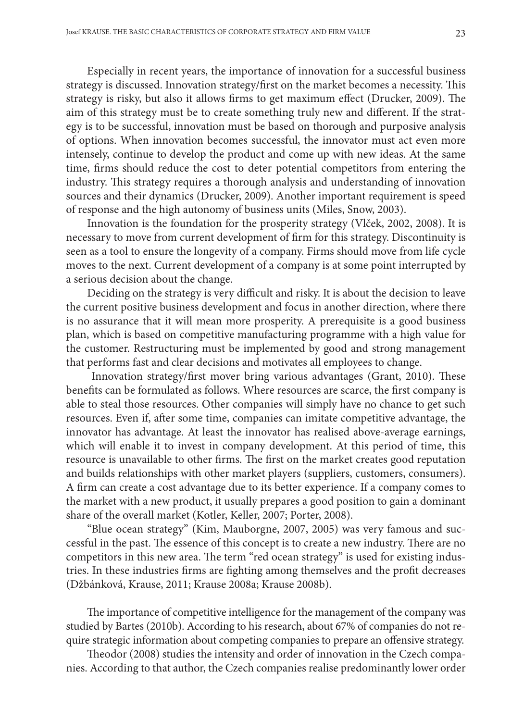Especially in recent years, the importance of innovation for a successful business strategy is discussed. Innovation strategy/first on the market becomes a necessity. This strategy is risky, but also it allows firms to get maximum effect (Drucker, 2009). The aim of this strategy must be to create something truly new and different. If the strategy is to be successful, innovation must be based on thorough and purposive analysis of options. When innovation becomes successful, the innovator must act even more intensely, continue to develop the product and come up with new ideas. At the same time, firms should reduce the cost to deter potential competitors from entering the industry. This strategy requires a thorough analysis and understanding of innovation sources and their dynamics (Drucker, 2009). Another important requirement is speed of response and the high autonomy of business units (Miles, Snow, 2003).

Innovation is the foundation for the prosperity strategy (Vlček, 2002, 2008). It is necessary to move from current development of firm for this strategy. Discontinuity is seen as a tool to ensure the longevity of a company. Firms should move from life cycle moves to the next. Current development of a company is at some point interrupted by a serious decision about the change.

Deciding on the strategy is very difficult and risky. It is about the decision to leave the current positive business development and focus in another direction, where there is no assurance that it will mean more prosperity. A prerequisite is a good business plan, which is based on competitive manufacturing programme with a high value for the customer. Restructuring must be implemented by good and strong management that performs fast and clear decisions and motivates all employees to change.

Innovation strategy/first mover bring various advantages (Grant, 2010). These benefits can be formulated as follows. Where resources are scarce, the first company is able to steal those resources. Other companies will simply have no chance to get such resources. Even if, after some time, companies can imitate competitive advantage, the innovator has advantage. At least the innovator has realised above-average earnings, which will enable it to invest in company development. At this period of time, this resource is unavailable to other firms. The first on the market creates good reputation and builds relationships with other market players (suppliers, customers, consumers). A firm can create a cost advantage due to its better experience. If a company comes to the market with a new product, it usually prepares a good position to gain a dominant share of the overall market (Kotler, Keller, 2007; Porter, 2008).

"Blue ocean strategy" (Kim, Mauborgne, 2007, 2005) was very famous and successful in the past. The essence of this concept is to create a new industry. There are no competitors in this new area. The term "red ocean strategy" is used for existing industries. In these industries firms are fighting among themselves and the profit decreases (Džbánková, Krause, 2011; Krause 2008a; Krause 2008b).

The importance of competitive intelligence for the management of the company was studied by Bartes (2010b). According to his research, about 67% of companies do not require strategic information about competing companies to prepare an offensive strategy.

Theodor (2008) studies the intensity and order of innovation in the Czech companies. According to that author, the Czech companies realise predominantly lower order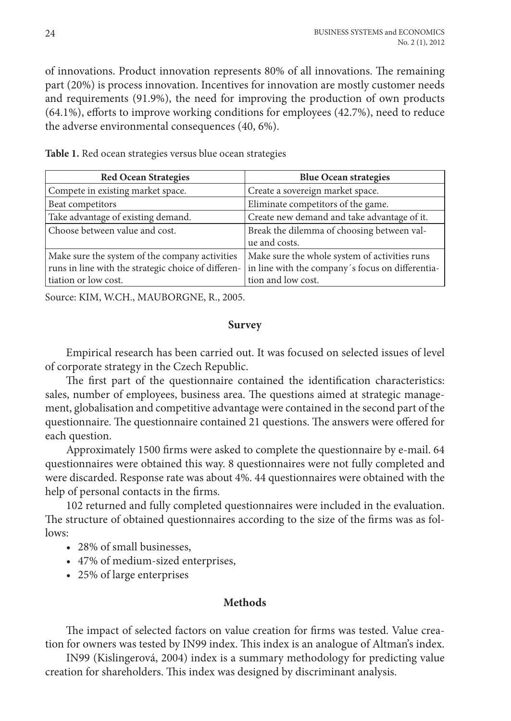of innovations. Product innovation represents 80% of all innovations. The remaining part (20%) is process innovation. Incentives for innovation are mostly customer needs and requirements (91.9%), the need for improving the production of own products (64.1%), efforts to improve working conditions for employees (42.7%), need to reduce the adverse environmental consequences (40, 6%).

| <b>Red Ocean Strategies</b>                         | <b>Blue Ocean strategies</b>                     |
|-----------------------------------------------------|--------------------------------------------------|
| Compete in existing market space.                   | Create a sovereign market space.                 |
| Beat competitors                                    | Eliminate competitors of the game.               |
| Take advantage of existing demand.                  | Create new demand and take advantage of it.      |
| Choose between value and cost.                      | Break the dilemma of choosing between val-       |
|                                                     | ue and costs.                                    |
| Make sure the system of the company activities      | Make sure the whole system of activities runs    |
| runs in line with the strategic choice of differen- | in line with the company's focus on differentia- |
| tiation or low cost.                                | tion and low cost.                               |

**Table 1.** Red ocean strategies versus blue ocean strategies

Source: KIM, W.CH., MAUBORGNE, R., 2005.

### **Survey**

Empirical research has been carried out. It was focused on selected issues of level of corporate strategy in the Czech Republic.

The first part of the questionnaire contained the identification characteristics: sales, number of employees, business area. The questions aimed at strategic management, globalisation and competitive advantage were contained in the second part of the questionnaire. The questionnaire contained 21 questions. The answers were offered for each question.

Approximately 1500 firms were asked to complete the questionnaire by e-mail. 64 questionnaires were obtained this way. 8 questionnaires were not fully completed and were discarded. Response rate was about 4%. 44 questionnaires were obtained with the help of personal contacts in the firms.

102 returned and fully completed questionnaires were included in the evaluation. The structure of obtained questionnaires according to the size of the firms was as follows:

- 28% of small businesses,
- 47% of medium-sized enterprises,
- 25% of large enterprises

# **Methods**

The impact of selected factors on value creation for firms was tested. Value creation for owners was tested by IN99 index. This index is an analogue of Altman's index.

IN99 (Kislingerová, 2004) index is a summary methodology for predicting value creation for shareholders. This index was designed by discriminant analysis.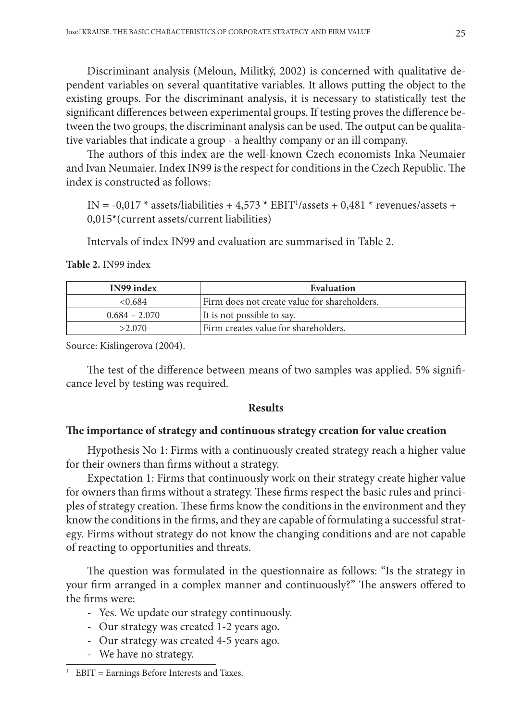Discriminant analysis (Meloun, Militký, 2002) is concerned with qualitative dependent variables on several quantitative variables. It allows putting the object to the existing groups. For the discriminant analysis, it is necessary to statistically test the significant differences between experimental groups. If testing proves the difference between the two groups, the discriminant analysis can be used. The output can be qualitative variables that indicate a group - a healthy company or an ill company.

The authors of this index are the well-known Czech economists Inka Neumaier and Ivan Neumaier. Index IN99 is the respect for conditions in the Czech Republic. The index is constructed as follows:

IN = -0,017  $*$  assets/liabilities + 4,573  $*$  EBIT<sup>1</sup>/assets + 0,481  $*$  revenues/assets + 0,015\*(current assets/current liabilities)

Intervals of index IN99 and evaluation are summarised in Table 2.

|  | Table 2. IN99 index |
|--|---------------------|
|--|---------------------|

| IN99 index      | Evaluation                                   |
|-----------------|----------------------------------------------|
| < 0.684         | Firm does not create value for shareholders. |
| $0.684 - 2.070$ | It is not possible to say.                   |
| >2.070          | Firm creates value for shareholders.         |

Source: Kislingerova (2004).

The test of the difference between means of two samples was applied. 5% significance level by testing was required.

#### **Results**

#### **The importance of strategy and continuous strategy creation for value creation**

Hypothesis No 1: Firms with a continuously created strategy reach a higher value for their owners than firms without a strategy.

Expectation 1: Firms that continuously work on their strategy create higher value for owners than firms without a strategy. These firms respect the basic rules and principles of strategy creation. These firms know the conditions in the environment and they know the conditions in the firms, and they are capable of formulating a successful strategy. Firms without strategy do not know the changing conditions and are not capable of reacting to opportunities and threats.

The question was formulated in the questionnaire as follows: "Is the strategy in your firm arranged in a complex manner and continuously?" The answers offered to the firms were:

- Yes. We update our strategy continuously.
- Our strategy was created 1-2 years ago.
- Our strategy was created 4-5 years ago.
- We have no strategy.

<sup>1</sup> EBIT = Earnings Before Interests and Taxes.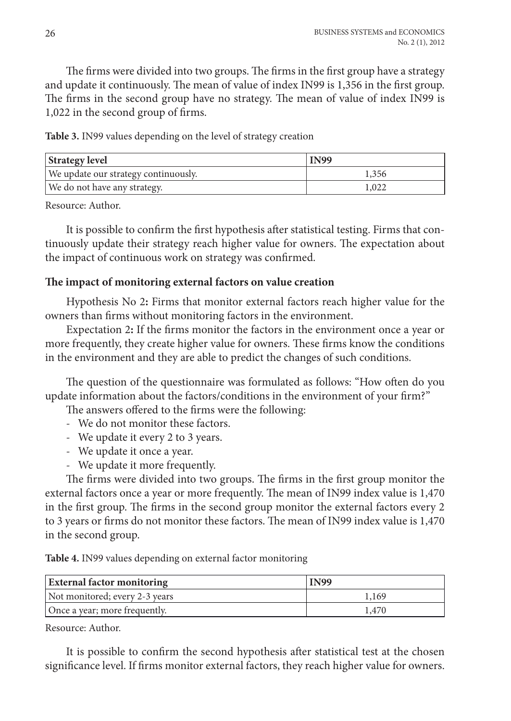The firms were divided into two groups. The firms in the first group have a strategy and update it continuously. The mean of value of index IN99 is 1,356 in the first group. The firms in the second group have no strategy. The mean of value of index IN99 is 1,022 in the second group of firms.

**Table 3.** IN99 values depending on the level of strategy creation

| <b>Strategy level</b>                | <b>IN99</b> |
|--------------------------------------|-------------|
| We update our strategy continuously. | 1,356       |
| We do not have any strategy.         | 1,022       |

Resource: Author.

It is possible to confirm the first hypothesis after statistical testing. Firms that continuously update their strategy reach higher value for owners. The expectation about the impact of continuous work on strategy was confirmed.

### **The impact of monitoring external factors on value creation**

Hypothesis No 2**:** Firms that monitor external factors reach higher value for the owners than firms without monitoring factors in the environment.

Expectation 2**:** If the firms monitor the factors in the environment once a year or more frequently, they create higher value for owners. These firms know the conditions in the environment and they are able to predict the changes of such conditions.

The question of the questionnaire was formulated as follows: "How often do you update information about the factors/conditions in the environment of your firm?"

The answers offered to the firms were the following:

- We do not monitor these factors.
- We update it every 2 to 3 years.
- We update it once a year.
- We update it more frequently.

The firms were divided into two groups. The firms in the first group monitor the external factors once a year or more frequently. The mean of IN99 index value is 1,470 in the first group. The firms in the second group monitor the external factors every 2 to 3 years or firms do not monitor these factors. The mean of IN99 index value is 1,470 in the second group.

**Table 4.** IN99 values depending on external factor monitoring

| <b>External factor monitoring</b> | <b>IN99</b> |
|-----------------------------------|-------------|
| Not monitored; every 2-3 years    | 1,169       |
| Once a year; more frequently.     | 1,470       |

Resource: Author.

It is possible to confirm the second hypothesis after statistical test at the chosen significance level. If firms monitor external factors, they reach higher value for owners.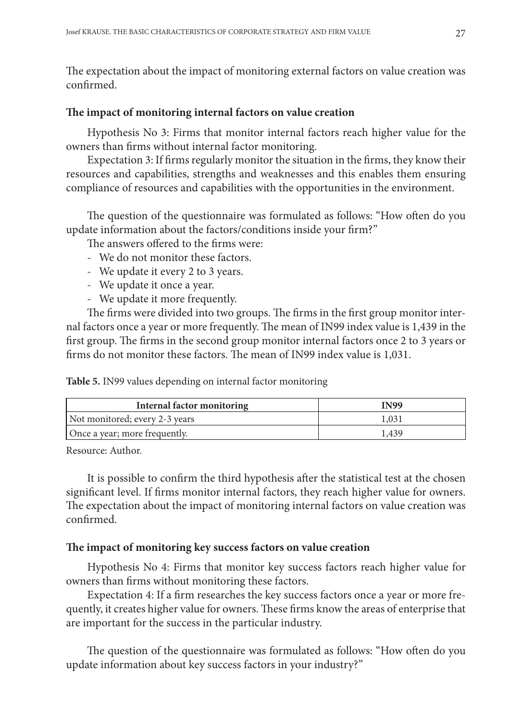The expectation about the impact of monitoring external factors on value creation was confirmed.

## **The impact of monitoring internal factors on value creation**

Hypothesis No 3: Firms that monitor internal factors reach higher value for the owners than firms without internal factor monitoring.

Expectation 3: If firms regularly monitor the situation in the firms, they know their resources and capabilities, strengths and weaknesses and this enables them ensuring compliance of resources and capabilities with the opportunities in the environment.

The question of the questionnaire was formulated as follows: "How often do you update information about the factors/conditions inside your firm?"

The answers offered to the firms were:

- We do not monitor these factors.
- We update it every 2 to 3 years.
- We update it once a year.
- We update it more frequently.

The firms were divided into two groups. The firms in the first group monitor internal factors once a year or more frequently. The mean of IN99 index value is 1,439 in the first group. The firms in the second group monitor internal factors once 2 to 3 years or firms do not monitor these factors. The mean of IN99 index value is 1,031.

**Table 5.** IN99 values depending on internal factor monitoring

| Internal factor monitoring     | <b>IN99</b> |
|--------------------------------|-------------|
| Not monitored; every 2-3 years | 1.031       |
| Once a year; more frequently.  | 1.439       |

Resource: Author.

It is possible to confirm the third hypothesis after the statistical test at the chosen significant level. If firms monitor internal factors, they reach higher value for owners. The expectation about the impact of monitoring internal factors on value creation was confirmed.

# **The impact of monitoring key success factors on value creation**

Hypothesis No 4: Firms that monitor key success factors reach higher value for owners than firms without monitoring these factors.

Expectation 4: If a firm researches the key success factors once a year or more frequently, it creates higher value for owners. These firms know the areas of enterprise that are important for the success in the particular industry.

The question of the questionnaire was formulated as follows: "How often do you update information about key success factors in your industry?"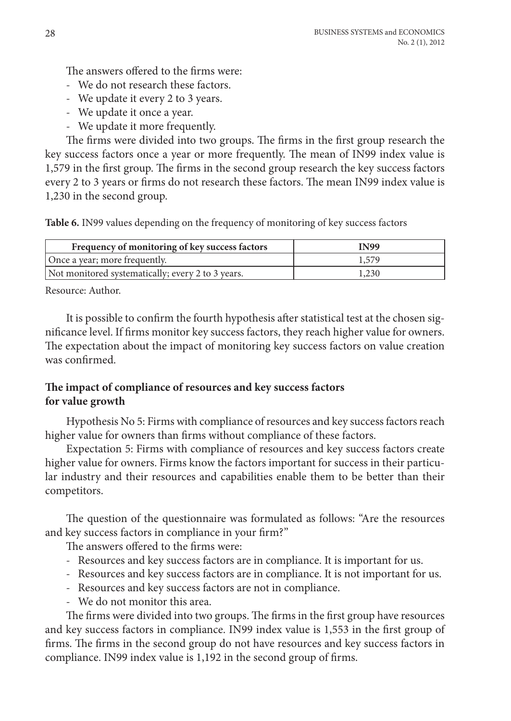The answers offered to the firms were:

- We do not research these factors.
- We update it every 2 to 3 years.
- We update it once a year.
- We update it more frequently.

The firms were divided into two groups. The firms in the first group research the key success factors once a year or more frequently. The mean of IN99 index value is 1,579 in the first group. The firms in the second group research the key success factors every 2 to 3 years or firms do not research these factors. The mean IN99 index value is 1,230 in the second group.

**Table 6.** IN99 values depending on the frequency of monitoring of key success factors

| Frequency of monitoring of key success factors    | IN99  |
|---------------------------------------------------|-------|
| Once a year; more frequently.                     | 1,579 |
| Not monitored systematically; every 2 to 3 years. | 1,230 |

Resource: Author.

It is possible to confirm the fourth hypothesis after statistical test at the chosen significance level. If firms monitor key success factors, they reach higher value for owners. The expectation about the impact of monitoring key success factors on value creation was confirmed.

# **The impact of compliance of resources and key success factors for value growth**

Hypothesis No 5: Firms with compliance of resources and key success factors reach higher value for owners than firms without compliance of these factors.

Expectation 5: Firms with compliance of resources and key success factors create higher value for owners. Firms know the factors important for success in their particular industry and their resources and capabilities enable them to be better than their competitors.

The question of the questionnaire was formulated as follows: "Are the resources and key success factors in compliance in your firm?"

The answers offered to the firms were:

- Resources and key success factors are in compliance. It is important for us.
- Resources and key success factors are in compliance. It is not important for us.
- Resources and key success factors are not in compliance.
- We do not monitor this area.

The firms were divided into two groups. The firms in the first group have resources and key success factors in compliance. IN99 index value is 1,553 in the first group of firms. The firms in the second group do not have resources and key success factors in compliance. IN99 index value is 1,192 in the second group of firms.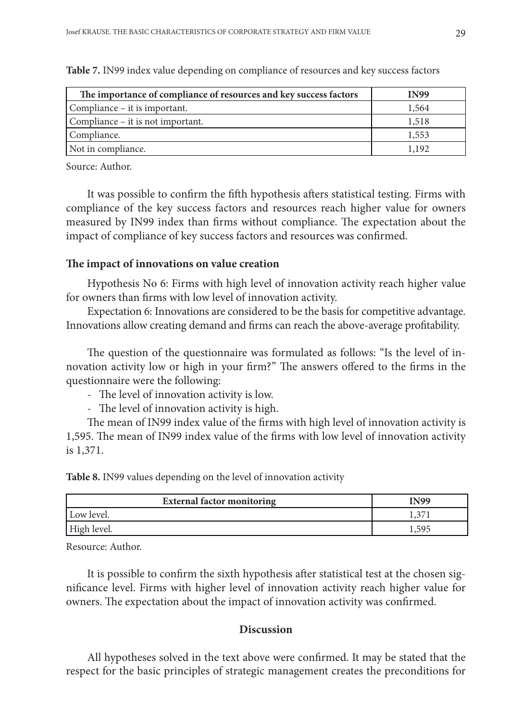| The importance of compliance of resources and key success factors | <b>IN99</b> |
|-------------------------------------------------------------------|-------------|
| Compliance – it is important.                                     | 1,564       |
| Compliance – it is not important.                                 | 1,518       |
| Compliance.                                                       | 1,553       |
| Not in compliance.                                                | 1,192       |

**Table 7.** IN99 index value depending on compliance of resources and key success factors

Source: Author.

It was possible to confirm the fifth hypothesis afters statistical testing. Firms with compliance of the key success factors and resources reach higher value for owners measured by IN99 index than firms without compliance. The expectation about the impact of compliance of key success factors and resources was confirmed.

# **The impact of innovations on value creation**

Hypothesis No 6: Firms with high level of innovation activity reach higher value for owners than firms with low level of innovation activity.

Expectation 6: Innovations are considered to be the basis for competitive advantage. Innovations allow creating demand and firms can reach the above-average profitability.

The question of the questionnaire was formulated as follows: "Is the level of innovation activity low or high in your firm?" The answers offered to the firms in the questionnaire were the following:

- The level of innovation activity is low.
- The level of innovation activity is high.

The mean of IN99 index value of the firms with high level of innovation activity is 1,595. The mean of IN99 index value of the firms with low level of innovation activity is 1,371.

**Table 8.** IN99 values depending on the level of innovation activity

| <b>External factor monitoring</b> | <b>IN99</b> |
|-----------------------------------|-------------|
| Low level.                        |             |
| High level.                       | 595         |

Resource: Author.

It is possible to confirm the sixth hypothesis after statistical test at the chosen significance level. Firms with higher level of innovation activity reach higher value for owners. The expectation about the impact of innovation activity was confirmed.

### **Discussion**

All hypotheses solved in the text above were confirmed. It may be stated that the respect for the basic principles of strategic management creates the preconditions for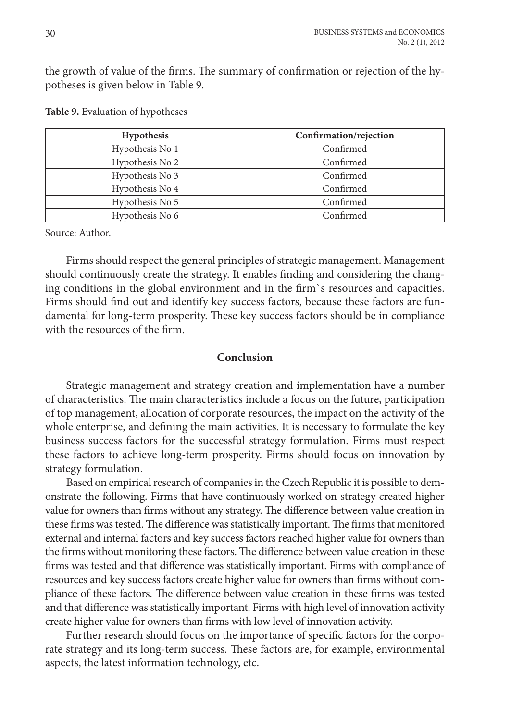the growth of value of the firms. The summary of confirmation or rejection of the hypotheses is given below in Table 9.

| <b>Hypothesis</b> | Confirmation/rejection |
|-------------------|------------------------|
| Hypothesis No 1   | Confirmed              |
| Hypothesis No 2   | Confirmed              |
| Hypothesis No 3   | Confirmed              |
| Hypothesis No 4   | Confirmed              |
| Hypothesis No 5   | Confirmed              |
| Hypothesis No 6   | Confirmed              |

**Table 9.** Evaluation of hypotheses

Source: Author.

Firms should respect the general principles of strategic management. Management should continuously create the strategy. It enables finding and considering the changing conditions in the global environment and in the firm`s resources and capacities. Firms should find out and identify key success factors, because these factors are fundamental for long-term prosperity. These key success factors should be in compliance with the resources of the firm.

#### **Conclusion**

Strategic management and strategy creation and implementation have a number of characteristics. The main characteristics include a focus on the future, participation of top management, allocation of corporate resources, the impact on the activity of the whole enterprise, and defining the main activities. It is necessary to formulate the key business success factors for the successful strategy formulation. Firms must respect these factors to achieve long-term prosperity. Firms should focus on innovation by strategy formulation.

Based on empirical research of companies in the Czech Republic it is possible to demonstrate the following. Firms that have continuously worked on strategy created higher value for owners than firms without any strategy. The difference between value creation in these firms was tested. The difference was statistically important. The firms that monitored external and internal factors and key success factors reached higher value for owners than the firms without monitoring these factors. The difference between value creation in these firms was tested and that difference was statistically important. Firms with compliance of resources and key success factors create higher value for owners than firms without compliance of these factors. The difference between value creation in these firms was tested and that difference was statistically important. Firms with high level of innovation activity create higher value for owners than firms with low level of innovation activity.

Further research should focus on the importance of specific factors for the corporate strategy and its long-term success. These factors are, for example, environmental aspects, the latest information technology, etc.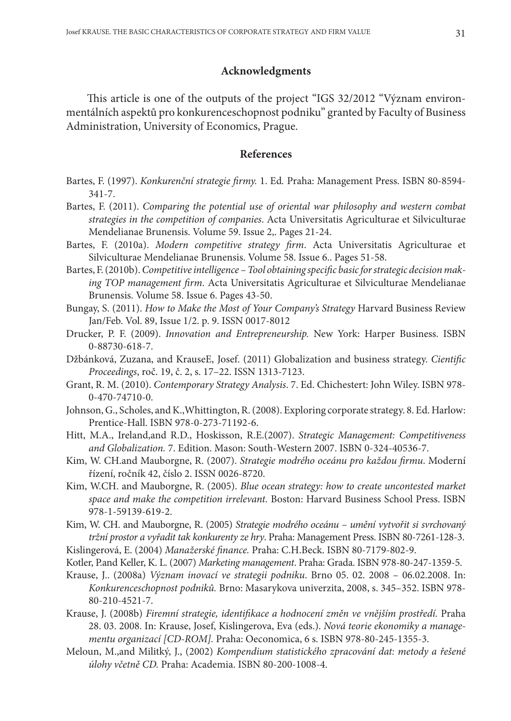### **Acknowledgments**

This article is one of the outputs of the project "IGS 32/2012 "Význam environmentálních aspektů pro konkurenceschopnost podniku" granted by Faculty of Business Administration, University of Economics, Prague.

#### **References**

- Bartes, F. (1997). *Konkurenční strategie firmy.* 1. Ed*.* Praha: Management Press. ISBN 80-8594- 341-7.
- Bartes, F. (2011). *Comparing the potential use of oriental war philosophy and western combat strategies in the competition of companies*. Acta Universitatis Agriculturae et Silviculturae Mendelianae Brunensis. Volume 59. Issue 2,. Pages 21-24.
- Bartes, F. (2010a). *Modern competitive strategy firm*. Acta Universitatis Agriculturae et Silviculturae Mendelianae Brunensis. Volume 58. Issue 6.. Pages 51-58.
- Bartes, F. (2010b). *Competitive intelligence Tool obtaining specific basic for strategic decision making TOP management firm*. Acta Universitatis Agriculturae et Silviculturae Mendelianae Brunensis. Volume 58. Issue 6. Pages 43-50.
- Bungay, S. (2011). *How to Make the Most of Your Company's Strategy* Harvard Business Review Jan/Feb. Vol. 89, Issue 1/2. p. 9. ISSN 0017-8012
- Drucker, P. F. (2009). *Innovation and Entrepreneurship.* New York: Harper Business. ISBN 0-88730-618-7.
- Džbánková, Zuzana, and KrauseE, Josef. (2011) Globalization and business strategy. *Cientific Proceedings*, roč. 19, č. 2, s. 17–22. ISSN 1313-7123.
- Grant, R. M. (2010). *Contemporary Strategy Analysis*. 7. Ed. Chichestert: John Wiley. ISBN 978- 0-470-74710-0.
- Johnson, G., Scholes, and K.,Whittington, R. (2008). Exploring corporate strategy. 8. Ed. Harlow: Prentice-Hall. ISBN 978-0-273-71192-6.
- Hitt, M.A., Ireland,and R.D., Hoskisson, R.E.(2007). *Strategic Management: Competitiveness and Globalization.* 7. Edition. Mason: South-Western 2007. ISBN 0-324-40536-7.
- Kim, W. CH.and Mauborgne, R. (2007). *Strategie modrého oceánu pro každou firmu*. Moderní řízení, ročník 42, číslo 2. ISSN 0026-8720.
- Kim, W.CH. and Mauborgne, R. (2005). *Blue ocean strategy: how to create uncontested market space and make the competition irrelevant.* Boston: Harvard Business School Press. ISBN 978-1-59139-619-2.
- Kim, W. CH. and Mauborgne, R. (2005) *Strategie modrého oceánu umění vytvořit si svrchovaný tržní prostor a vyřadit tak konkurenty ze hry*. Praha: Management Press. ISBN 80-7261-128-3. Kislingerová, E. (2004) *Manažerské finance.* Praha: C.H.Beck. ISBN 80-7179-802-9.
- Kotler, P.and Keller, K. L. (2007) *Marketing management*. Praha: Grada. ISBN 978-80-247-1359-5.
- Krause, J.. (2008a) *Význam inovací ve strategii podniku*. Brno 05. 02. 2008 06.02.2008. In: *Konkurenceschopnost podniků.* Brno: Masarykova univerzita, 2008, s. 345–352. ISBN 978- 80-210-4521-7.
- Krause, J. (2008b) *Firemní strategie, identifikace a hodnocení změn ve vnějším prostředí.* Praha 28. 03. 2008. In: Krause, Josef, Kislingerova, Eva (eds.). *Nová teorie ekonomiky a managementu organizací [CD-ROM].* Praha: Oeconomica, 6 s. ISBN 978-80-245-1355-3.
- Meloun, M.,and Militký, J., (2002) *Kompendium statistického zpracování dat: metody a řešené úlohy včetně CD.* Praha: Academia. ISBN 80-200-1008-4.